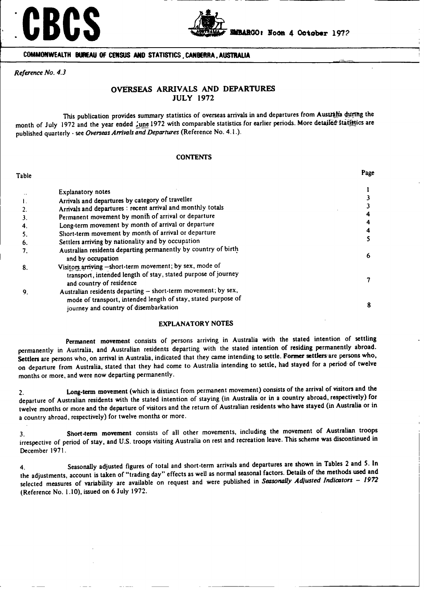



**COMMONWEALTH BUREAU OF CENSUS AND STATISTICS, CANBERRA, AUSTRAUA**

*Reference No. 4.3*

#### **OVERSEAS ARRIVALS AND DEPARTURES JULY 1972**

This publication provides summary statistics of overseas arrivals in and departures from Australia durthg the month of July 1972 and the year ended *june* 1972 with comparable statistics for earlier periods. More detailed statistics are published quarterly - **see** *Overseas Arrivals and Departures* (Reference No. 4.1.).

#### **CONTENTS**

| Table |                                                                                                                                                                         | Page |
|-------|-------------------------------------------------------------------------------------------------------------------------------------------------------------------------|------|
|       | <b>Explanatory notes</b>                                                                                                                                                |      |
|       | Arrivals and departures by category of traveller                                                                                                                        |      |
|       | Arrivals and departures : recent arrival and monthly totals                                                                                                             |      |
|       | Permanent movement by month of arrival or departure                                                                                                                     |      |
|       | Long-term movement by month of arrival or departure                                                                                                                     | 4    |
|       | Short-term movement by month of arrival or departure                                                                                                                    | 4    |
| 6.    | Settlers arriving by nationality and by occupation                                                                                                                      |      |
|       | Australian residents departing permanently by country of birth<br>and by occupation                                                                                     | 6    |
| 8.    | Visitors arriving -short-term movement; by sex, mode of<br>transport, intended length of stay, stated purpose of journey<br>and country of residence                    |      |
| 9.    | Australian residents departing - short-term movement; by sex,<br>mode of transport, intended length of stay, stated purpose of<br>journey and country of disembarkation | 8    |

#### EXPLANATORY NOTES

**Permanent movement** consists of persons arriving in Australia with **the stated** intention of settling permanently in Australia, and Australian **residents** departing with the stated intention of residing permanently abroad. **Settlers** are persons who, on arrival in Australia, indicated that they came intending **to settle. Former settlers are** persons who, on departure from Australia, **stated that** they had come to Australia intending **to** settle, had stayed for a period of twelve months or more, and were now departing permanently.

2. Long-term movement (which is distinct from permanent movement) consists of **the arrival** of **visitors and** the departure of Australian residents with the stated intention of staying (in Australia **or** in **a** country abroad, **respectively) for** twelve months **or** more and **the departure** of visitors and the return of Australian residents who have **stayed** (in **Australia or** in a country abroad, respectively) for twelve months or more.

3. Short-term movement consists of all other movements, including **the** movement of **Australian** troops irrespective of period of stay, and U.S. troops visiting Australia on **rest** and recreation leave. This scheme **was** discontinued in December 1971.

4. Seasonally adjusted figures of total and short-term arrivals and **departures are** shown in Tables 2 **and** 5. In **the** adjustments, account is taken of "trading day" effects as well as normal seasonal factors. Details of the methods used **and** selected measures of variability **are** available on request and were published in *Seasonally Adjusted Indicators* - *<sup>1972</sup>* (Reference **No.** 1.10), issued on 6 July 1972.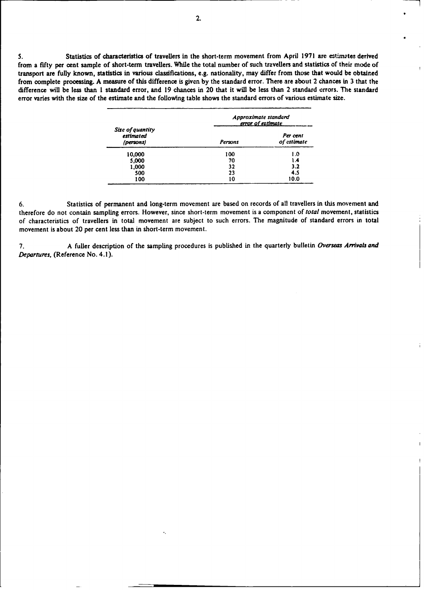**S.** Statistics of characteristics of travellers in the short-term movement from April 1971 are estimates derived from a fifty per cent sample of short-term travellers. While the total number of such travellers and statistics of their mode of transport are fully known, statistics in various classifications, e.g. nationality, may differ from those that would be obtained from complete processing. A measure of this difference is given by the standard error. **There** are about 2 chances in **3** that the difference will be less than **1** standard error, and 19 chances in 20 that it will be less than 2 standard errors. The standard error varies with the size of the estimate and the folloving table shows the standard errors of various estimate size.

|                                            | Approximate standard<br>error of estimate |                         |  |  |
|--------------------------------------------|-------------------------------------------|-------------------------|--|--|
| Size of quantity<br>estimated<br>(persons) | Persons                                   | Per cent<br>of estimate |  |  |
| 10,000                                     | 100                                       | 1.0                     |  |  |
| 5,000                                      | 70                                        | ۱.4                     |  |  |
| 1,000                                      | 32                                        | 3.2                     |  |  |
| 500                                        | 23                                        | 4.5                     |  |  |
| 100                                        | 10                                        | 10.0                    |  |  |

6. Statistics of permanent and long-term movement are based on records of all travellers in this movement and therefore do not contain sampling errors. However, since short-term movement is a component of **total** movement, statistics of characteristics of travellers in total movement are subject to such errors. The magnitude of standard errors in total movement is about 20 per cent less than in short-term movement.

7. A fuller description of the sampling procedures is published in the quarterly bulletin *Overseas Arrivals and Departures,* (Reference No. 4.1).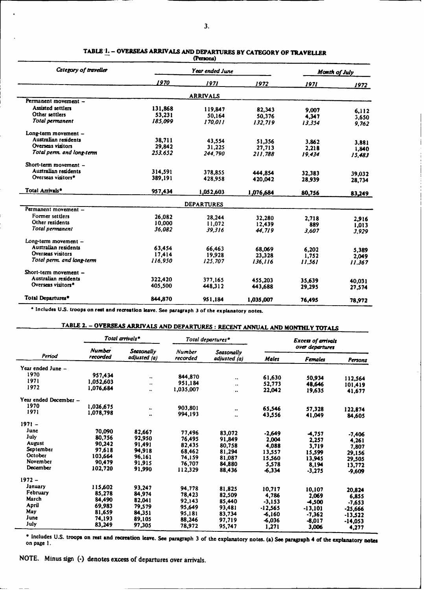| Category of traveller          |         | Month of July     |           |        |        |
|--------------------------------|---------|-------------------|-----------|--------|--------|
|                                | 1970    | 1971              | 1972      | 1971   | 1972   |
|                                |         | <b>ARRIVALS</b>   |           |        |        |
| Permanent movement -           |         |                   |           |        |        |
| Assisted settlers              | 131,868 | 119,847           | 82,343    | 9.007  | 6,112  |
| Other settlers                 | 53,231  | 50,164            | 50,376    | 4.347  | 3,650  |
| Total permanent                | 185.099 | 170.011           | 132.719   | 13,354 | 9.762  |
| Long-term movement -           |         |                   |           |        |        |
| Australian residents           | 38,711  | 43,554            | 51,356    | 3.862  | 3.881  |
| Overseas visitors              | 29,842  | 31,225            | 27,713    | 2.218  | 1,840  |
| Total perm. and long-term      | 253.652 | 244.790           | 211,788   | 19.434 | 15,483 |
| Short-term movement -          |         |                   |           |        |        |
| Australian residents           | 314.591 | 378,855           | 444,854   | 32,383 | 39.032 |
| Overseas visitors <sup>*</sup> | 389,191 | 428,958           | 420.042   | 28,939 | 28,734 |
| Total Arrivals <sup>*</sup>    | 957,434 | 1,052,603         | 1,076,684 | 80,756 | 83,249 |
|                                |         | <b>DEPARTURES</b> |           |        |        |
| Permanent movement -           |         |                   |           |        |        |
| Former settlers                | 26,082  | 28,244            | 32,280    | 2,718  | 2,916  |
| Other residents                | 10,000  | 11,072            | 12.439    | 889    | 1.013  |
| Total permanent                | 36.082  | 39,316            | 44.719    | 3.607  | 3.929  |
| Long-term movement -           |         |                   |           |        |        |
| Australian residents           | 63,454  | 66,463            | 68,069    | 6.202  | 5.389  |
| Overseas visitors              | 17,414  | 19,928            | 23,328    | 1,752  | 2.049  |
| Total perm. and long-term      | 116.950 | 125,707           | 136,116   | 11,561 | 11.367 |
| Short-term movement -          |         |                   |           |        |        |
| Australian residents           | 322,420 | 377,165           | 455,203   | 35,639 | 40.031 |
| Overseas visitors <sup>*</sup> | 405.500 | 448,312           | 443,688   | 29,295 | 27,574 |
| Total Departures*              | 844,870 | 951.184           | 1,035,007 | 76,495 | 78,972 |

#### **TABLE \*I. - OVERSEAS ARRIVALS AND DEPARTURES BY CATEGORY OF TRAVELLER (Persons)**

**" Includes U.S. troops on rest and recreation leave. See paragraph 3 of the explanatory notes.**

## **TABLE 2.** - **OVERSEAS ARRIVALS AND DEPARTURES : RECENT ANNUAL AND MONTHLY TOTALS**

|                       |                           | Total arrivals*            |                    | Total departures*  |              | <b>Excess of arrivals</b> |           |  |
|-----------------------|---------------------------|----------------------------|--------------------|--------------------|--------------|---------------------------|-----------|--|
| Period                | <b>Number</b><br>recorded | Seasonally<br>adjusted (a) | Number<br>recorded | Seasonally         |              | over departures           |           |  |
|                       |                           |                            |                    | adjusted (a)       | <b>Males</b> | Females                   | Persons   |  |
| Year ended June -     |                           |                            |                    |                    |              |                           |           |  |
| 1970                  | 957,434                   | $\bullet\bullet$           | 844,870            |                    | 61,630       |                           |           |  |
| 1971                  | 1.052.603                 | $\ddotsc$                  | 951.184            | $\bullet\,\bullet$ |              | 50.934                    | 112,564   |  |
| 1972                  | 1.076.684                 |                            | 1,035,007          |                    | 52,773       | 48,646                    | 101,419   |  |
|                       |                           |                            |                    |                    | 22,042       | 19,635                    | 41,677    |  |
| Year ended December - |                           |                            |                    |                    |              |                           |           |  |
| 1970                  | 1,026,675                 | $\ddot{\phantom{0}}$       | 903,801            |                    | 65,546       |                           |           |  |
| 1971                  | 1.078.798                 | $\ddot{\phantom{0}}$       | 994,193            |                    | 43.556       | 57,328                    | 122,874   |  |
|                       |                           |                            |                    | ٠.                 |              | 41,049                    | 84,605    |  |
| $1971 -$              |                           |                            |                    |                    |              |                           |           |  |
| June                  | 70,090                    | 82.667                     | 77,496             | 83,072             | $-2,649$     | 4,757                     |           |  |
| July                  | 80,756                    | 92,950                     | 76,495             | 91.849             | 2.004        | 2,257                     | $-7,406$  |  |
| <b>August</b>         | 90,242                    | 91.491                     | 82,435             | 80,758             | 4.088        | 3.719                     | 4,261     |  |
| September             | 97.618                    | 94.918                     | 68.462             | 81,294             | 13,557       | 15.599                    | 7,807     |  |
| October               | 103.664                   | 96,161                     | 74.159             | 81,087             | 15.560       | 13.945                    | 29,156    |  |
| November              | 90,479                    | 91,915                     | 76,707             | 84,880             | 5.578        | 8,194                     | 29,505    |  |
| December              | 102,720                   | 91,990                     | 112,329            | 88,436             | -6.334       | $-3,275$                  | 13,772    |  |
|                       |                           |                            |                    |                    |              |                           | $-9.609$  |  |
| $1972 -$              |                           |                            |                    |                    |              |                           |           |  |
| January               | 115,602                   | 93.247                     | 94.778             | 81,825             | 10.717       | 10.107                    | 20.824    |  |
| February              | 85.278                    | 84.974                     | 78,423             | 82,509             | 4,786        | 2,069                     |           |  |
| March                 | 84,490                    | 82.041                     | 92.143             | 85,440             | $-3.153$     | 4,500                     | 6.855     |  |
| April                 | 69,983                    | 79.579                     | 95.649             | 93,481             | $-12,565$    |                           | $-7,653$  |  |
| May                   | 81.659                    | 84.351                     | 95,181             | 83,734             | -6.160       | $-13,101$                 | $-25,666$ |  |
| June                  | 74,193                    | 89.105                     | 88.246             | 97.719             | $-6.036$     | $-7.362$                  | $-13,522$ |  |
| July                  | 83,249                    | 97,305                     | 78,972             | 95,747             |              | $-8,017$                  | $-14,053$ |  |
|                       |                           |                            |                    |                    | 1,271        | 3,006                     | 4,277     |  |

' Includes U.S. troops **on rest and recreation leave. See paragraph** 3 of the explanatory **notes. (a) See paragraph** 4 of the **explanatory notes** on page 1.

NOTE. **Minus sign** (-) **denotes excess of departures over arrivals.**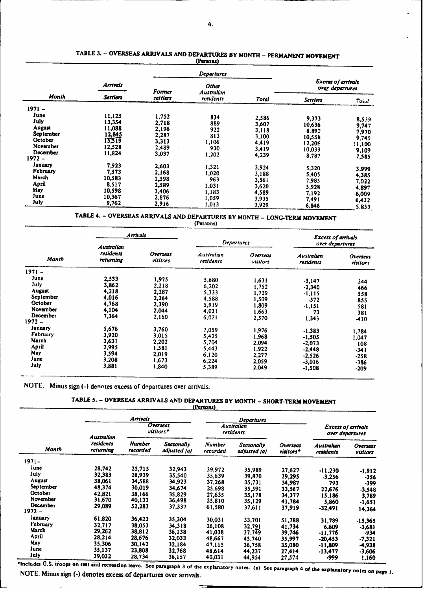|               |                 |               | Departures                 |              |                                              |              |  |
|---------------|-----------------|---------------|----------------------------|--------------|----------------------------------------------|--------------|--|
|               | Arrivals        | <b>Former</b> | <b>Other</b><br>Australian |              | <b>Excess of arrivals</b><br>over departures |              |  |
| Month         | <b>Settlers</b> | set tlers     | residents                  | <b>Total</b> | <b>Settlers</b>                              | $T$ Oind     |  |
| $1971 -$      |                 |               |                            |              |                                              |              |  |
| June          | 11.125          | 1,752         | 834                        | 2,586        | 9,373                                        | 8.539        |  |
| July          | 13,354          | 2,718         | 889                        | 3,607        | 10,636                                       | 9,747        |  |
| <b>August</b> | 11,088          | 2,196         | 922                        | 3,118        | 8,892                                        | 7,970        |  |
| September     | 12,845          | 2,287         | 813                        | 3.100        | 10,558                                       | 9,745        |  |
| October       | 15,319          | 3,313         | 1.106                      | 4,419        | 12,206                                       |              |  |
| November      | 12.528          | 2,489         | 930                        | 3,419        | 10,039                                       | 11,100       |  |
| December      | 11,824          | 3,037         | 1,202                      | 4,239        |                                              | 9,109        |  |
| 1972 –        |                 |               |                            |              | 8,787                                        | 7,585        |  |
| January       | 7,923           | 2,603         | 1.321                      | 3,924        | 5,320                                        |              |  |
| February      | 7,573           | 2.168         | 1,020                      | 3,188        | 5,405                                        | 3.999        |  |
| March         | 10,583          | 2,598         | 963                        | 3,561        |                                              | 4,385        |  |
| April         | 8,517           | 2,589         | 1,031                      |              | 7,985                                        | 7,022        |  |
| May           | 10,598          | 3,406         |                            | 3.620        | 5,928                                        | 4,897        |  |
| June          | 10,367          | 2,876         | 1,183                      | 4.589        | 7.192                                        | 6,009        |  |
| July          | 9,762           |               | 1,059                      | 3,935        | 7,491                                        | 6,432        |  |
|               |                 | 2,916         | 1,013                      | 3.929        | 6.846                                        | <b>C 011</b> |  |

#### TABLE 3. - **OVERSEAS** ARRIVALS AND DEPARTURES BY MONTH - PERMANENT **MOVEMENT (Persons)**

**29610**<br>**29610012 3.929** 6.846 **CONCERTIONS AND DEPARTURES BY MONTH - LONG-TERM MOVEMENT** 

**(Persons)**

| Month           | <b>Arrivals</b>        |                      |                         |                      |                         | <b>Excess of arrivals</b> |
|-----------------|------------------------|----------------------|-------------------------|----------------------|-------------------------|---------------------------|
|                 | Australian             |                      | <b>Departures</b>       |                      | over departures         |                           |
|                 | residents<br>returning | Overseas<br>visitors | Australian<br>residents | Overseas<br>visitors | Australian<br>residents | Overseas<br>visitors      |
| $1971 -$        |                        |                      |                         |                      |                         |                           |
| June            | 2.533                  | 1,975                | 5.680                   | 1.631                | $-3,147$                | 344                       |
| July            | 3,862                  | 2.218                | 6,202                   | 1,752                | $-2,340$                | 466                       |
| August          | 4.218                  | 2,287                | 5,333                   | 1.729                | $-1.115$                | 558                       |
| September       | 4.016                  | 2,364                | 4,588                   | 1.509                | $-572$                  | 855                       |
| October         | 4,768                  | 2,390                | 5.919                   | 1.809                | $-1,151$                | 581                       |
| <b>November</b> | 4,104                  | 2.044                | 4.031                   | 1.663                | 73                      | 381                       |
| December        | 7,364                  | 2,160                | 6,021                   | 2.570                | 1,343                   | -410                      |
| $1972 -$        |                        |                      |                         |                      |                         |                           |
| January         | 5,676                  | 3,760                | 7,059                   | 1,976                | $-1.383$                | 1.784                     |
| February        | 3,920                  | 3,015                | 5,425                   | 1,968                | $-1,505$                | 1.047                     |
| March           | 3,631                  | 2,202                | 5.704                   | 2,094                | $-2,073$                | 108                       |
| April           | 2,995                  | 1.581                | 5,443                   | 1,922                | $-2,448$                | $-341$                    |
| May             | 3.594                  | 2,019                | 6,120                   | 2.277                | $-2,526$                | $-258$                    |
| June            | 3,208                  | 1,673                | 6,224                   | 2.059                | $-3,016$                | $-386$                    |
| July            | 3,881                  | 1,840                | 5,389                   | 2,049                | $-1,508$                | $-209$                    |

NOTE. Minus sign (-) denotes excess of departures over arrivals.

#### **TABLE S. - OVERSEAS ARRIVALS AND DEPARTURES BY MONTH - SHORT-TERN MOVEMENT (Persons)**

|               |                        | <b>Arrivals</b>    |                            |                                | Departures                 |                       |                                              |                      |
|---------------|------------------------|--------------------|----------------------------|--------------------------------|----------------------------|-----------------------|----------------------------------------------|----------------------|
|               | Australian             |                    | Overseas<br>visitors*      | <b>Australian</b><br>residents |                            |                       | <b>Excess of arrivals</b><br>over departures |                      |
| Month         | residents<br>returning | Number<br>recorded | Seasonally<br>adjusted (a) | <b>Number</b><br>recorded      | Seasonally<br>adjusted (a) | Overseas<br>visitors* | <b>Australian</b><br>retidents               | Overseas<br>visitors |
| $1971 -$      |                        |                    |                            |                                |                            |                       |                                              |                      |
| June          | 28,742                 | 25,715             | 32.943                     | 39,972                         | 35,989                     | 27,627                | $-11,230$                                    | $-1,912$             |
| July          | 32,383                 | 28.939             | 35.540                     | 35,639                         | 39,870                     | 29,295                | $-3,256$                                     | $-356$               |
| <b>August</b> | 38.061                 | 34,588             | 34,923                     | 37,268                         | 35,731                     | 34,987                | 793                                          | -399                 |
| September     | 48,374                 | 30,019             | 34,674                     | 25,698                         | 35,591                     | 33.567                | 22,676                                       | $-3.548$             |
| October       | 42,821                 | 38,166             | 35,829                     | 27,635                         | 35,178                     | 34.377                | 15.186                                       | 3,789                |
| November      | 31,670                 | 40,133             | 36,498                     | 25,810                         | 35,129                     | 41,784                | 5,860                                        | -1,651               |
| December      | 29,089                 | 52,283             | 37,337                     | 61,580                         | 37,611                     | 37.919                | -32,491                                      | 14,364               |
| $1972 -$      |                        |                    |                            |                                |                            |                       |                                              |                      |
| January       | 61.820                 | 36.423             | 35,304                     | 30.031                         | 33,701                     | 51,788                | 31,789                                       | -15,365              |
| February      | 32.717                 | 38.053             | 34.318                     | 26,108                         | 32,791                     | 41,734                | 6.609                                        | $-3.681$             |
| March         | 29.262                 | 38,812             | 36,138                     | 41,038                         | 37,749                     | 39,746                | $-11,776$                                    | -934                 |
| April         | 28,214                 | 28,676             | 32,033                     | 48,667                         | 45,740                     | 35.997                | $-20.453$                                    | $-7,321$             |
| May           | 35,306                 | 30,142             | 32,184                     | 47.115                         | 36,758                     | 35.080                | $-11.809$                                    | 4,938                |
| June          | 35,137                 | 23,808             | 32.768                     | 48,614                         | 44,237                     | 27,414                | $-13,477$                                    | $-3,606$             |
| July          | 39,032                 | 28,734             | 36,157                     | 40,031                         | 44,954                     | 27,574                | -999                                         | 1,160                |

 $\frac{35,052}{26,734}$ <br>  $\frac{36,157}{26,157}$ <br>  $\frac{40,031}{44,934}$ <br>  $\frac{27,574}{27,574}$ <br>  $\frac{3999}{1,160}$ <br>  $\frac{1,160}{1,160}$ <br>
NOTE. Minus sign (-) denotes excess of departures over arrivals.

H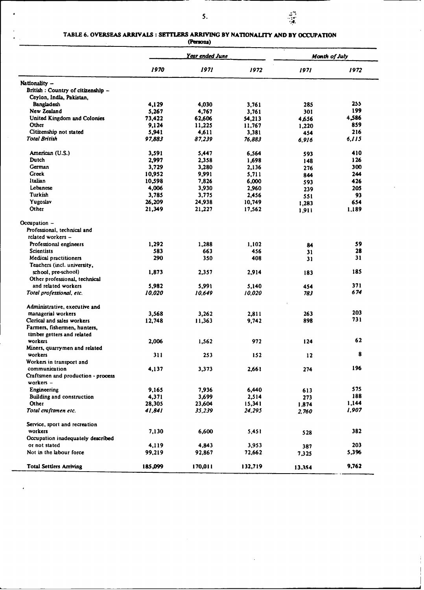# TABLE 6. OVERSEAS ARRIVALS : SETTLERS ARRIVING BY NATIONALITY AND BY OCCUPATION (Persons)

J.

 $\overline{a}$ 

|                                                 | Year ended June |         |         | Month of July |       |  |
|-------------------------------------------------|-----------------|---------|---------|---------------|-------|--|
|                                                 | 1970            | 1971    | 1972    | 1971          | 1972  |  |
| Nationality -                                   |                 |         |         |               |       |  |
| British : Country of citizenship -              |                 |         |         |               |       |  |
| Ceylon, India, Pakistan,                        |                 |         |         |               |       |  |
| Bangladesh                                      | 4,129           | 4,030   | 3,761   | 285           | 255   |  |
| New Zealand                                     | 5,267           | 4,767   | 3,761   | 301           | 199   |  |
| United Kingdom and Colonies                     | 73,422          | 62,606  | 54,213  | 4,656         | 4,586 |  |
| Other                                           | 9,124           | 11,225  | 11,767  | 1,220         | 859   |  |
| Citizenship not stated                          | 5,941           | 4,611   | 3,381   | 454           | 216   |  |
| <b>Total British</b>                            | 97,883          | 87,239  | 76,883  | 6.916         | 6,115 |  |
| American (U.S.)                                 | 3,591           | 5,447   | 6,564   | 593           | 410   |  |
| Dutch                                           | 2,997           | 2,358   | 1,698   | 148           | 126   |  |
| German                                          | 3,729           | 3,280   | 2,136   | 276           | 300   |  |
| Greek                                           | 10,952          | 9,991   | 5,711   | 844           | 244   |  |
| Italian                                         | 10,598          | 7,826   | 6,000   | 593           | 426   |  |
| Lebanese                                        | 4,006           | 3,930   | 2,960   | 239           | 205   |  |
| Turkish                                         | 3,785           | 3,775   | 2,456   | 551           | 93    |  |
| Yugoslav                                        | 26,209          | 24,938  | 10,749  | 1,283         | 654   |  |
| Other                                           | 21,349          | 21,227  | 17,562  | 1,911         | 1.189 |  |
| Occupation -                                    |                 |         |         |               |       |  |
| Professional, technical and                     |                 |         |         |               |       |  |
| related workers -                               |                 |         |         |               |       |  |
| Professional engineers                          | 1,292           | 1,288   | 1,102   | 84            | 59    |  |
| <b>Scientists</b>                               | 583             | 663     | 456     | 31            | 28    |  |
| Medical practitioners                           | 290             | 350     | 408     | 31            | 31    |  |
| Teachers (incl. university,                     |                 |         |         |               |       |  |
| school, pre-school)                             | 1,873           | 2,357   | 2,914   | 183           | 185   |  |
| Other professional, technical                   |                 |         |         |               |       |  |
| and related workers                             | 5,982           | 5,991   | 5,140   | 454           | 371   |  |
| Total professional, etc.                        | 10,020          | 10,649  | 10,020  | 783           | 674   |  |
|                                                 |                 |         |         | ÷.            |       |  |
| Administrative, executive and                   |                 |         |         |               |       |  |
| managerial workers                              | 3,568           | 3,262   | 2,811   | 263           | 203   |  |
| Clerical and sales workers                      | 12,748          | 11,363  | 9,742   | 898           | 731   |  |
| Farmers, fishermen, hunters,                    |                 |         |         |               |       |  |
| timber getters and related                      |                 |         |         |               |       |  |
| workers                                         | 2,006           | 1,562   | 972     | 124           | 62    |  |
| Miners, quarrymen and related                   |                 |         |         |               |       |  |
| workers                                         | 311             | 253     | 152     | 12            | 8     |  |
| Workers in transport and                        |                 |         |         |               |       |  |
| communication                                   | 4,137           | 3,373   | 2,661   | 274           | 196   |  |
| Craftsmen and production - process<br>workers - |                 |         |         |               |       |  |
| Engineering                                     | 9,165           | 7,936   | 6,440   | 613           | 575   |  |
| <b>Building and construction</b>                | 4,371           | 3,699   | 2,514   | 273           | 188   |  |
| Other                                           | 28,305          | 23,604  | 15,341  | 1,874         | 1,144 |  |
| Total craftsmen etc.                            | 41,841          | 35.239  | 24,295  | 2,760         | 1,907 |  |
| Service, sport and recreation                   |                 |         |         |               |       |  |
| workers                                         | 7,130           | 6,600   | 5,451   | 528           | 382   |  |
| Occupation inadequately described               |                 |         |         |               |       |  |
| or not stated                                   | 4,119           | 4,843   | 3,953   | 387           | 203   |  |
| Not in the labour force                         | 99,219          | 92,867  | 72,662  | 7,325         | 5,396 |  |
|                                                 |                 |         |         |               |       |  |
| <b>Total Settlers Arriving</b>                  | 185,099         | 170,011 | 132,719 | 13.354        | 9,762 |  |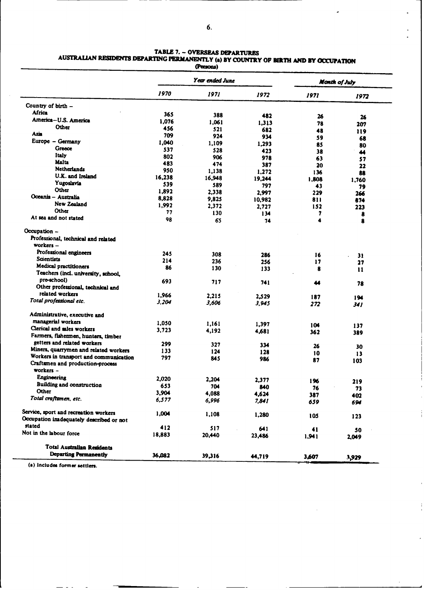$\ddot{\phantom{0}}$ 

 $\ddot{\phantom{a}}$ 

 $\overline{1}$ 

 $\frac{1}{1}$ 

# TABLE 7. -- OVERSEAS DEPARTURES<br>**AUSTRALIAN RESIDENTS DEPARTING PERMANENTLY (a) BY COUNTRY OF BIRTH AND BY OCCUPATION**

|                                          |        | u uww)          |                |            |               |
|------------------------------------------|--------|-----------------|----------------|------------|---------------|
|                                          |        | Year ended June |                |            | Month of July |
|                                          | 1970   | 1971            | 1972           | 1971       | 1972          |
| Country of birth -                       |        |                 |                |            |               |
| Africa                                   | 365    | 388             | 482            | 26         |               |
| America-U.S. America                     | 1,076  | 1.061           | 1,313          | 78         | 26            |
| Other                                    | 456    | 521             | 682            | 48         | 207           |
| Asia                                     | 709    | 924             | 934            | 59         | 119           |
| Europe - Germany                         | 1,040  | 1,109           | 1,293          | 85         | 68            |
| Greece                                   | 537    | 528             | 423            | 38         | 80            |
| <b>Italy</b>                             | 802    | 906             | 978            | 63         | 44            |
| <b>Malta</b>                             | 483    | 474             | 387            | 20         | 57<br>22      |
| <b>Netherlands</b>                       | 950    | 1,138           | 1,272          | 136        | 88            |
| U.K. and Ireland                         | 16,238 | 16,948          | 19,244         | 1.808      |               |
| Yugoslavia                               | 539    | 589             | 797            | 43         | 1.760<br>79   |
| Other                                    | 1.892  | 2,338           | 2.997          | 229        | 266           |
| Oceania - Australia                      | 8,828  | 9,825           | 10,982         | 811        | 874           |
| New Zealand                              | 1,992  | 2.372           | 2,727          | 152        | 223           |
| Other                                    | 77     | 130             | 134            | 7          | 8             |
| At sea and not stated                    | 98     | 65              | 74             | 4          | 8             |
| Occupation -                             |        |                 |                |            |               |
| Professional, technical and related      |        |                 |                |            |               |
| workers -                                |        |                 |                |            |               |
| Professional engineers                   | 245    | 308             | 286            | 16         |               |
| <b>Scientists</b>                        | 214    | 236             | 256            | 17         | 31<br>27      |
| Medical practitioners                    | 86     | 130             | 133            | 8          |               |
| Teachers (incl. university, school,      |        |                 |                |            | 11            |
| pre-school)                              | 693    | 717             | 741            | 44         |               |
| Other professional, technical and        |        |                 |                |            | 78            |
| related workers                          | 1,966  | 2,215           | 2,529          | 187        |               |
| Total professional etc.                  | 3,204  | 3,606           | 3,945          | 272        | 194<br>341    |
| Administrative, executive and            |        |                 |                |            |               |
| managerial workers                       | 1,050  | 1,161           |                |            |               |
| Clerical and sales workers               | 3,723  | 4,192           | 1.397          | 104        | 137           |
| Farmers, fishermen, hunters, timber      |        |                 | 4,681          | 362        | 389           |
| getters and related workers              | 299    | 327             |                |            |               |
| Miners, quarrymen and related workers    | 133    | 124             | 334            | 26         | 30            |
| Workers in transport and communication   | 797    | 845             | 128<br>986     | 10         | 13            |
| Craftsmen and production-process         |        |                 |                | 87         | 103           |
| workers -                                |        |                 |                |            |               |
| Engineering                              | 2.020  | 2,204           | 2,377          |            |               |
| Building and construction                | 653    | 704             |                | 196        | 219           |
| Other                                    | 3,904  | 4,088           | 840            | 76         | 73            |
| Total craftsmen, etc.                    | 6,577  | 6,996           | 4,624<br>7,841 | 387<br>659 | 402<br>694    |
| Service, sport and recreation workers    |        |                 |                |            |               |
| Occupation imadequately described or not | 1,004  | 1,108           | 1,280          | 105        | 123           |
| stated                                   |        |                 |                |            |               |
| Not in the labour force                  | 412    | 517             | 641            | 41         | 50            |
|                                          | 18,883 | 20,440          | 23,486         | 1,941      | 2,049         |
| <b>Total Australian Residents</b>        |        |                 |                |            |               |
| Departing Permanently                    | 36,082 | 39,316          | 44,719         | 3,607      | 3,929         |

**(a) Includes former settlers.**

 $\frac{1}{2} \frac{1}{2} \frac{1}{2} \frac{1}{2} \frac{1}{2} \frac{1}{2} \frac{1}{2} \frac{1}{2} \frac{1}{2} \frac{1}{2} \frac{1}{2} \frac{1}{2} \frac{1}{2} \frac{1}{2} \frac{1}{2} \frac{1}{2} \frac{1}{2} \frac{1}{2} \frac{1}{2} \frac{1}{2} \frac{1}{2} \frac{1}{2} \frac{1}{2} \frac{1}{2} \frac{1}{2} \frac{1}{2} \frac{1}{2} \frac{1}{2} \frac{1}{2} \frac{1}{2} \frac{1}{2} \frac{$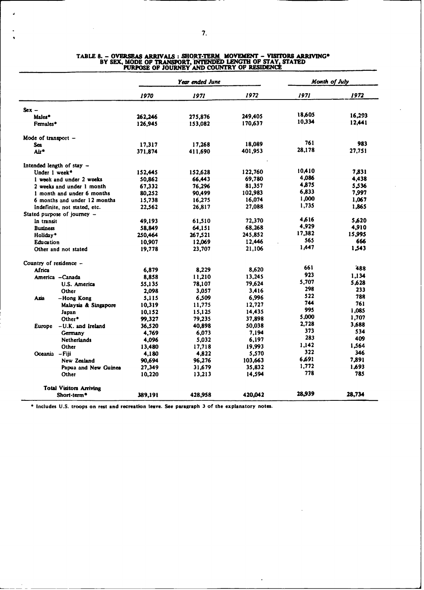|                                |         | Year ended June |         |        | <b>Month of July</b> |
|--------------------------------|---------|-----------------|---------|--------|----------------------|
|                                | 1970    | 1971            | 1972    | 1971   | 1972                 |
| $Sex -$                        |         |                 |         |        |                      |
| Males*                         | 262,246 | 275.876         | 249,405 | 18,605 | 16,293               |
| Females*                       | 126,945 | 153,082         | 170,637 | 10.334 | 12,441               |
| Mode of transport $-$          |         |                 |         |        |                      |
| Sea                            | 17,317  | 17,268          | 18,089  | 761    | 983                  |
| Air*                           | 371,874 | 411,690         | 401,953 | 28,178 | 27,751               |
| Intended length of stay -      |         |                 |         |        |                      |
| Under 1 week*                  | 152,445 | 152,628         | 122,760 | 10,410 | 7.831                |
| 1 week and under 2 weeks       | 50,862  | 66,443          | 69,780  | 4,086  | 4.438                |
| 2 weeks and under 1 month      | 67.332  | 76,296          | 81,357  | 4.875  | 5.536                |
| 1 month and under 6 months     | 80.252  | 90.499          | 102,983 | 6,833  | 7.997                |
| 6 months and under 12 months   | 15,738  | 16,275          | 16,074  | 1,000  | 1,067                |
| Indefinite, not stated, etc.   | 22.562  | 26,817          | 27,088  | 1,735  | 1.865                |
| Stated purpose of journey –    |         |                 |         |        |                      |
| In transit                     | 49,193  | 61,510          | 72,370  | 4616   | 5.620                |
| <b>Business</b>                | 58,849  | 64,151          | 68,268  | 4,929  | 4,910                |
| Holiday*                       | 250,464 | 267,521         | 245,852 | 17,382 | 15.995               |
| Education                      | 10,907  | 12,069          | 12,446  | 565    | 666                  |
| Other and not stated           | 19,778  | 23,707          | 21,106  | 1.447  | 1,543                |
| Country of residence -         |         |                 |         |        |                      |
| Africa                         | 6,879   | 8.229           | 8,620   | 661    | 488                  |
| America - Canada               | 8,858   | 11,210          | 13,245  | 923    | 1.134                |
| U.S. America                   | 55.135  | 78,107          | 79.624  | 5,707  | 5.628                |
| Other                          | 2.098   | 3.057           | 3.416   | 298    | 233                  |
| –Hong Kong<br>Asia             | 5,115   | 6,509           | 6,996   | 522    | 788                  |
| Malaysia & Singapore           | 10,319  | 11,775          | 12,727  | 744    | 761                  |
| Japan                          | 10,152  | 15,125          | 14,435  | 995    | 1.085                |
| Other*                         | 99,327  | 79,235          | 37,898  | 5,000  | 1,707                |
| -U.K. and Ireland<br>Europe    | 36,520  | 40,898          | 50,038  | 2,728  | 3.688                |
| Germany                        | 4,769   | 6.073           | 7.194   | 373    | 534                  |
| <b>Netherlands</b>             | 4.096   | 5,032           | 6,197   | 283    | 409                  |
| Other                          | 13,480  | 17,718          | 19,993  | 1.142  | 1.564                |
| Oceania - Fiji                 | 4,180   | 4,822           | 5,570   | 322    | 346                  |
| New Zealand                    | 90.694  | 96.276          | 103.663 | 6,691  | 7.891                |
| Papua and New Guinea           | 27,349  | 31,679          | 35,832  | 1.772  | 1.693                |
| Other                          | 10,220  | 13.213          | 14,594  | 778    | 785                  |
| <b>Total Visitors Arriving</b> |         |                 |         |        |                      |
| Short-term <sup>*</sup>        | 389,191 | 428,958         | 420,042 | 28.939 | 28,734               |

 $\ddot{\phantom{a}}$ 

### **TABLE 8.** - **OVERSEAS ARRIVALS** : **SORT-TERM MOVEMENT** - **VISIORS ARRIVINVG'** BY SEX, MODE OF TRANSPORT, INTENDED LENGTH OF STAY, STATED<br>PURPOSE OF JOURNEY AND COUNTRY OF RESIDENCE

**"Includes U.S. troops on rest and recreation leave. See paraxraph 3 of the explanatory notes.**

J.

 $\alpha$